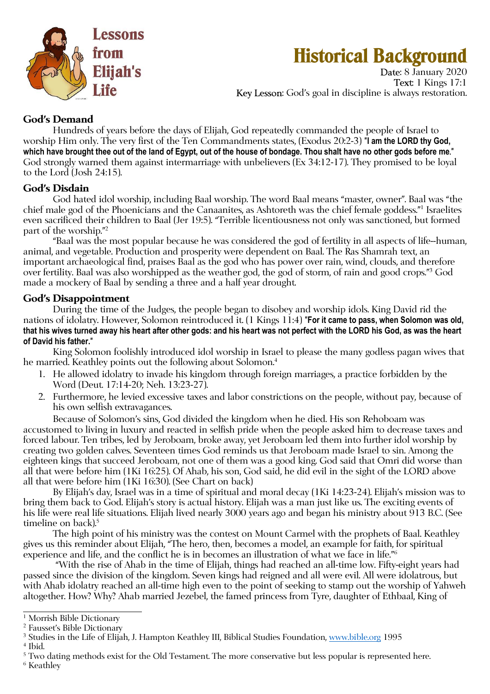

# **Historical Background**

Date: 8 January 2020 Text: 1 Kings 17:1 Key Lesson: God's goal in discipline is always restoration.

## **God's Demand**

 Hundreds of years before the days of Elijah, God repeatedly commanded the people of Israel to worship Him only. The very first of the Ten Commandments states, (Exodus 20:2-3) "**I am the LORD thy God, which have brought thee out of the land of Egypt, out of the house of bondage. Thou shalt have no other gods before me**." God strongly warned them against intermarriage with unbelievers (Ex 34:12-17). They promised to be loyal to the Lord (Josh 24:15).

### **God's Disdain**

 God hated idol worship, including Baal worship. The word Baal means "master, owner". Baal was "the chief male god of the Phoenicians and the Canaanites, as Ashtoreth was the chief female goddess."<sup>1</sup> Israelites even sacrificed their children to Baal (Jer 19:5). "Terrible licentiousness not only was sanctioned, but formed part of the worship."<sup>2</sup>

"Baal was the most popular because he was considered the god of fertility in all aspects of life--human, animal, and vegetable. Production and prosperity were dependent on Baal. The Ras Shamrah text, an important archaeological find, praises Baal as the god who has power over rain, wind, clouds, and therefore over fertility. Baal was also worshipped as the weather god, the god of storm, of rain and good crops." 3 God made a mockery of Baal by sending a three and a half year drought.

### **God's Disappointment**

During the time of the Judges, the people began to disobey and worship idols. King David rid the nations of idolatry. However, Solomon reintroduced it. (1 Kings 11:4) "**For it came to pass, when Solomon was old, that his wives turned away his heart after other gods: and his heart was not perfect with the LORD his God, as was the heart of David his father.**"

King Solomon foolishly introduced idol worship in Israel to please the many godless pagan wives that he married. Keathley points out the following about Solomon.<sup>4</sup>

- 1. He allowed idolatry to invade his kingdom through foreign marriages, a practice forbidden by the Word (Deut. 17:14-20; Neh. 13:23-27).
- 2. Furthermore, he levied excessive taxes and labor constrictions on the people, without pay, because of his own selfish extravagances.

Because of Solomon's sins, God divided the kingdom when he died. His son Rehoboam was accustomed to living in luxury and reacted in selfish pride when the people asked him to decrease taxes and forced labour. Ten tribes, led by Jeroboam, broke away, yet Jeroboam led them into further idol worship by creating two golden calves. Seventeen times God reminds us that Jeroboam made Israel to sin. Among the eighteen kings that succeed Jeroboam, not one of them was a good king. God said that Omri did worse than all that were before him (1Ki 16:25). Of Ahab, his son, God said, he did evil in the sight of the LORD above all that were before him (1Ki 16:30). (See Chart on back)

By Elijah's day, Israel was in a time of spiritual and moral decay (1Ki 14:23-24). Elijah's mission was to bring them back to God. Elijah's story is actual history. Elijah was a man just like us. The exciting events of his life were real life situations. Elijah lived nearly 3000 years ago and began his ministry about 913 B.C. (See timeline on back).<sup>5</sup>

The high point of his ministry was the contest on Mount Carmel with the prophets of Baal. Keathley gives us this reminder about Elijah, "The hero, then, becomes a model, an example for faith, for spiritual experience and life, and the conflict he is in becomes an illustration of what we face in life." $\scriptstyle\rm o$ 

 "With the rise of Ahab in the time of Elijah, things had reached an all-time low. Fifty-eight years had passed since the division of the kingdom. Seven kings had reigned and all were evil. All were idolatrous, but with Ahab idolatry reached an all-time high even to the point of seeking to stamp out the worship of Yahweh altogether. How? Why? Ahab married Jezebel, the famed princess from Tyre, daughter of Ethbaal, King of

<sup>&</sup>lt;sup>1</sup> Morrish Bible Dictionary

<sup>2</sup> Fausset's Bible Dictionary

<sup>&</sup>lt;sup>3</sup> Studies in the Life of Elijah, J. Hampton Keathley III, Biblical Studies Foundation, <u>www.bible.org</u> 1995

<sup>4</sup> Ibid.

<sup>&</sup>lt;sup>5</sup> Two dating methods exist for the Old Testament. The more conservative but less popular is represented here.  $^6$  Keathley